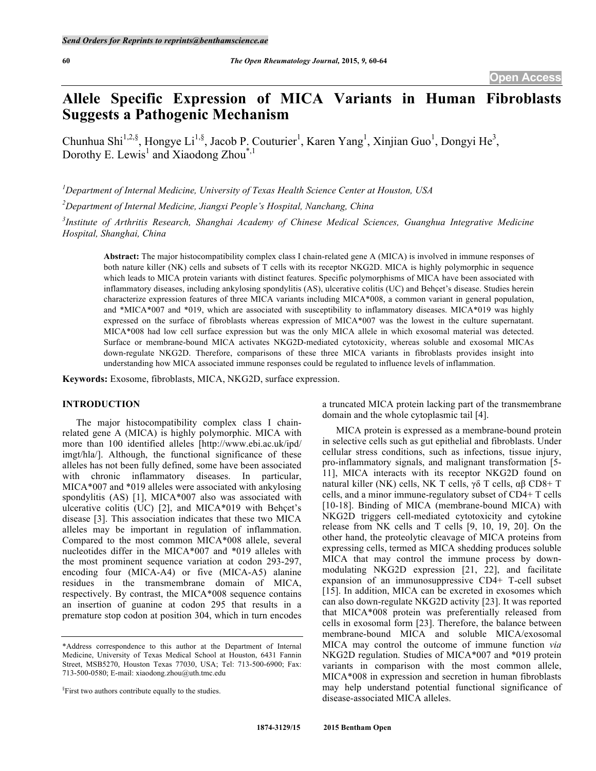# **Allele Specific Expression of MICA Variants in Human Fibroblasts Suggests a Pathogenic Mechanism**

Chunhua Shi<sup>1,2,§</sup>, Hongye Li<sup>1,§</sup>, Jacob P. Couturier<sup>1</sup>, Karen Yang<sup>1</sup>, Xinjian Guo<sup>1</sup>, Dongyi He<sup>3</sup>, Dorothy E. Lewis<sup>1</sup> and Xiaodong Zhou<sup>\*,1</sup>

*1 Department of Internal Medicine, University of Texas Health Science Center at Houston, USA*

*2 Department of Internal Medicine, Jiangxi People's Hospital, Nanchang, China*

*3 Institute of Arthritis Research, Shanghai Academy of Chinese Medical Sciences, Guanghua Integrative Medicine Hospital, Shanghai, China*

**Abstract:** The major histocompatibility complex class I chain-related gene A (MICA) is involved in immune responses of both nature killer (NK) cells and subsets of T cells with its receptor NKG2D. MICA is highly polymorphic in sequence which leads to MICA protein variants with distinct features. Specific polymorphisms of MICA have been associated with inflammatory diseases, including ankylosing spondylitis (AS), ulcerative colitis (UC) and Behçet's disease. Studies herein characterize expression features of three MICA variants including MICA\*008, a common variant in general population, and \*MICA\*007 and \*019, which are associated with susceptibility to inflammatory diseases. MICA\*019 was highly expressed on the surface of fibroblasts whereas expression of MICA\*007 was the lowest in the culture supernatant. MICA\*008 had low cell surface expression but was the only MICA allele in which exosomal material was detected. Surface or membrane-bound MICA activates NKG2D-mediated cytotoxicity, whereas soluble and exosomal MICAs down-regulate NKG2D. Therefore, comparisons of these three MICA variants in fibroblasts provides insight into understanding how MICA associated immune responses could be regulated to influence levels of inflammation.

**Keywords:** Exosome, fibroblasts, MICA, NKG2D, surface expression.

## **INTRODUCTION**

The major histocompatibility complex class I chainrelated gene A (MICA) is highly polymorphic. MICA with more than 100 identified alleles [http://www.ebi.ac.uk/ipd/ imgt/hla/]. Although, the functional significance of these alleles has not been fully defined, some have been associated with chronic inflammatory diseases. In particular, MICA\*007 and \*019 alleles were associated with ankylosing spondylitis (AS) [1], MICA\*007 also was associated with ulcerative colitis (UC) [2], and MICA\*019 with Behçet's disease [3]. This association indicates that these two MICA alleles may be important in regulation of inflammation. Compared to the most common MICA\*008 allele, several nucleotides differ in the MICA\*007 and \*019 alleles with the most prominent sequence variation at codon 293-297, encoding four (MICA-A4) or five (MICA-A5) alanine residues in the transmembrane domain of MICA, respectively. By contrast, the MICA\*008 sequence contains an insertion of guanine at codon 295 that results in a premature stop codon at position 304, which in turn encodes a truncated MICA protein lacking part of the transmembrane domain and the whole cytoplasmic tail [4].

MICA protein is expressed as a membrane-bound protein in selective cells such as gut epithelial and fibroblasts. Under cellular stress conditions, such as infections, tissue injury, pro-inflammatory signals, and malignant transformation [5- 11], MICA interacts with its receptor NKG2D found on natural killer (NK) cells, NK T cells, γδ T cells, αβ CD8+ T cells, and a minor immune-regulatory subset of CD4+ T cells [10-18]. Binding of MICA (membrane-bound MICA) with NKG2D triggers cell-mediated cytotoxicity and cytokine release from NK cells and T cells [9, 10, 19, 20]. On the other hand, the proteolytic cleavage of MICA proteins from expressing cells, termed as MICA shedding produces soluble MICA that may control the immune process by downmodulating NKG2D expression [21, 22], and facilitate expansion of an immunosuppressive CD4+ T-cell subset [15]. In addition, MICA can be excreted in exosomes which can also down-regulate NKG2D activity [23]. It was reported that MICA\*008 protein was preferentially released from cells in exosomal form [23]. Therefore, the balance between membrane-bound MICA and soluble MICA/exosomal MICA may control the outcome of immune function *via*  NKG2D regulation. Studies of MICA\*007 and \*019 protein variants in comparison with the most common allele, MICA\*008 in expression and secretion in human fibroblasts may help understand potential functional significance of disease-associated MICA alleles.

<sup>\*</sup>Address correspondence to this author at the Department of Internal Medicine, University of Texas Medical School at Houston, 6431 Fannin Street, MSB5270, Houston Texas 77030, USA; Tel: 713-500-6900; Fax: 713-500-0580; E-mail: xiaodong.zhou@uth.tmc.edu

<sup>&</sup>lt;sup>§</sup>First two authors contribute equally to the studies.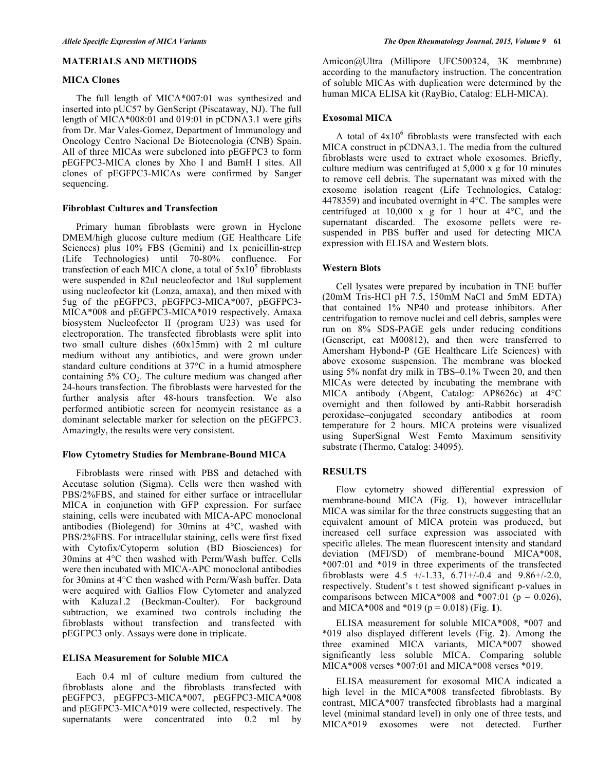## **MATERIALS AND METHODS**

#### **MICA Clones**

The full length of MICA\*007:01 was synthesized and inserted into pUC57 by GenScript (Piscataway, NJ). The full length of MICA\*008:01 and 019:01 in pCDNA3.1 were gifts from Dr. Mar Vales-Gomez, Department of Immunology and Oncology Centro Nacional De Biotecnologia (CNB) Spain. All of three MICAs were subcloned into pEGFPC3 to form pEGFPC3-MICA clones by Xho I and BamH I sites. All clones of pEGFPC3-MICAs were confirmed by Sanger sequencing.

## **Fibroblast Cultures and Transfection**

Primary human fibroblasts were grown in Hyclone DMEM/high glucose culture medium (GE Healthcare Life Sciences) plus 10% FBS (Gemini) and 1x penicillin-strep (Life Technologies) until 70-80% confluence. For transfection of each MICA clone, a total of  $5x10<sup>5</sup>$  fibroblasts were suspended in 82ul neucleofector and 18ul supplement using nucleofector kit (Lonza, amaxa), and then mixed with 5ug of the pEGFPC3, pEGFPC3-MICA\*007, pEGFPC3- MICA\*008 and pEGFPC3-MICA\*019 respectively. Amaxa biosystem Nucleofector II (program U23) was used for electroporation. The transfected fibroblasts were split into two small culture dishes (60x15mm) with 2 ml culture medium without any antibiotics, and were grown under standard culture conditions at 37°C in a humid atmosphere containing  $5\%$  CO<sub>2</sub>. The culture medium was changed after 24-hours transfection. The fibroblasts were harvested for the further analysis after 48-hours transfection. We also performed antibiotic screen for neomycin resistance as a dominant selectable marker for selection on the pEGFPC3. Amazingly, the results were very consistent.

#### **Flow Cytometry Studies for Membrane-Bound MICA**

Fibroblasts were rinsed with PBS and detached with Accutase solution (Sigma). Cells were then washed with PBS/2%FBS, and stained for either surface or intracellular MICA in conjunction with GFP expression. For surface staining, cells were incubated with MICA-APC monoclonal antibodies (Biolegend) for 30mins at 4°C, washed with PBS/2%FBS. For intracellular staining, cells were first fixed with Cytofix/Cytoperm solution (BD Biosciences) for 30mins at 4°C then washed with Perm/Wash buffer. Cells were then incubated with MICA-APC monoclonal antibodies for 30mins at 4°C then washed with Perm/Wash buffer. Data were acquired with Gallios Flow Cytometer and analyzed with Kaluza1.2 (Beckman-Coulter). For background subtraction, we examined two controls including the fibroblasts without transfection and transfected with pEGFPC3 only. Assays were done in triplicate.

## **ELISA Measurement for Soluble MICA**

Each 0.4 ml of culture medium from cultured the fibroblasts alone and the fibroblasts transfected with pEGFPC3, pEGFPC3-MICA\*007, pEGFPC3-MICA\*008 and pEGFPC3-MICA\*019 were collected, respectively. The supernatants were concentrated into 0.2 ml by

Amicon@Ultra (Millipore UFC500324, 3K membrane) according to the manufactory instruction. The concentration of soluble MICAs with duplication were determined by the human MICA ELISA kit (RayBio, Catalog: ELH-MICA).

#### **Exosomal MICA**

A total of  $4x10^6$  fibroblasts were transfected with each MICA construct in pCDNA3.1. The media from the cultured fibroblasts were used to extract whole exosomes. Briefly, culture medium was centrifuged at 5,000 x g for 10 minutes to remove cell debris. The supernatant was mixed with the exosome isolation reagent (Life Technologies, Catalog: 4478359) and incubated overnight in 4°C. The samples were centrifuged at  $10,000 \times g$  for 1 hour at  $4^{\circ}C$ , and the supernatant discarded. The exosome pellets were resuspended in PBS buffer and used for detecting MICA expression with ELISA and Western blots.

## **Western Blots**

Cell lysates were prepared by incubation in TNE buffer (20mM Tris-HCl pH 7.5, 150mM NaCl and 5mM EDTA) that contained 1% NP40 and protease inhibitors. After centrifugation to remove nuclei and cell debris, samples were run on 8% SDS-PAGE gels under reducing conditions (Genscript, cat M00812), and then were transferred to Amersham Hybond-P (GE Healthcare Life Sciences) with above exosome suspension. The membrane was blocked using 5% nonfat dry milk in TBS–0.1% Tween 20, and then MICAs were detected by incubating the membrane with MICA antibody (Abgent, Catalog: AP8626c) at 4°C overnight and then followed by anti-Rabbit horseradish peroxidase–conjugated secondary antibodies at room temperature for 2 hours. MICA proteins were visualized using SuperSignal West Femto Maximum sensitivity substrate (Thermo, Catalog: 34095).

## **RESULTS**

Flow cytometry showed differential expression of membrane-bound MICA (Fig. **1**), however intracellular MICA was similar for the three constructs suggesting that an equivalent amount of MICA protein was produced, but increased cell surface expression was associated with specific alleles. The mean fluorescent intensity and standard deviation (MFI/SD) of membrane-bound MICA\*008, \*007:01 and \*019 in three experiments of the transfected fibroblasts were  $4.5 +(-1.33, 6.71+(-0.4)$  and  $9.86+(-2.0, 1.5)$ respectively. Student's t test showed significant p-values in comparisons between MICA\*008 and \*007:01 ( $p = 0.026$ ), and MICA\*008 and \*019 ( $p = 0.018$ ) (Fig. 1).

ELISA measurement for soluble MICA\*008, \*007 and \*019 also displayed different levels (Fig. **2**). Among the three examined MICA variants, MICA\*007 showed significantly less soluble MICA. Comparing soluble MICA\*008 verses \*007:01 and MICA\*008 verses \*019.

ELISA measurement for exosomal MICA indicated a high level in the MICA\*008 transfected fibroblasts. By contrast, MICA\*007 transfected fibroblasts had a marginal level (minimal standard level) in only one of three tests, and MICA\*019 exosomes were not detected. Further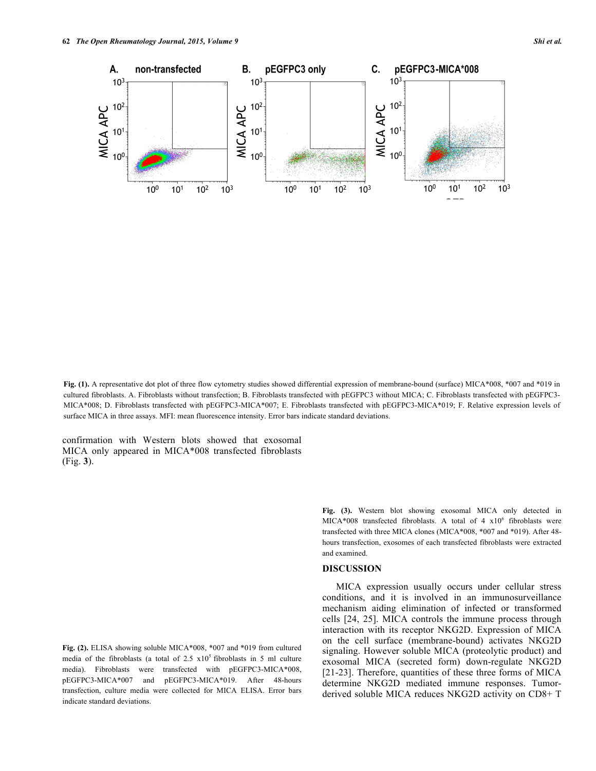**Fig. (1).** A representative dot plot of three flow cytometry studies showed differential expression of membrane-bound (surface) MICA\*008, \*007 and \*019 in cultured fibroblasts. A. Fibroblasts without transfection; B. Fibroblasts transfected with pEGFPC3 without MICA; C. Fibroblasts transfected with pEGFPC3- MICA\*008; D. Fibroblasts transfected with pEGFPC3-MICA\*007; E. Fibroblasts transfected with pEGFPC3-MICA\*019; F. Relative expression levels of surface MICA in three assays. MFI: mean fluorescence intensity. Error bars indicate standard deviations.

confirmation with Western blots showed that exosomal MICA only appeared in MICA\*008 transfected fibroblasts (Fig. **3**).

**Fig. (2).** ELISA showing soluble MICA\*008, \*007 and \*019 from cultured media of the fibroblasts (a total of  $2.5 \times 10^5$  fibroblasts in 5 ml culture media). Fibroblasts were transfected with pEGFPC3-MICA\*008, pEGFPC3-MICA\*007 and pEGFPC3-MICA\*019. After 48-hours transfection, culture media were collected for MICA ELISA. Error bars indicate standard deviations.

**Fig. (3).** Western blot showing exosomal MICA only detected in MICA\*008 transfected fibroblasts. A total of  $4 \times 10^6$  fibroblasts were transfected with three MICA clones (MICA\*008, \*007 and \*019). After 48 hours transfection, exosomes of each transfected fibroblasts were extracted and examined.

#### **DISCUSSION**

MICA expression usually occurs under cellular stress conditions, and it is involved in an immunosurveillance mechanism aiding elimination of infected or transformed cells [24, 25]. MICA controls the immune process through interaction with its receptor NKG2D. Expression of MICA on the cell surface (membrane-bound) activates NKG2D signaling. However soluble MICA (proteolytic product) and exosomal MICA (secreted form) down-regulate NKG2D [21-23]. Therefore, quantities of these three forms of MICA determine NKG2D mediated immune responses. Tumorderived soluble MICA reduces NKG2D activity on CD8+ T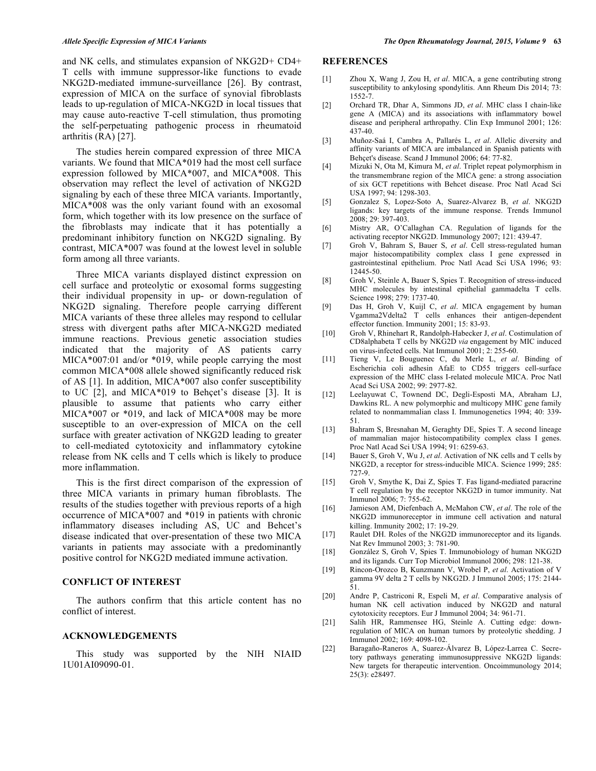and NK cells, and stimulates expansion of NKG2D+ CD4+ T cells with immune suppressor-like functions to evade NKG2D-mediated immune-surveillance [26]. By contrast, expression of MICA on the surface of synovial fibroblasts leads to up-regulation of MICA-NKG2D in local tissues that may cause auto-reactive T-cell stimulation, thus promoting the self-perpetuating pathogenic process in rheumatoid arthritis (RA) [27].

The studies herein compared expression of three MICA variants. We found that MICA\*019 had the most cell surface expression followed by MICA\*007, and MICA\*008. This observation may reflect the level of activation of NKG2D signaling by each of these three MICA variants. Importantly, MICA\*008 was the only variant found with an exosomal form, which together with its low presence on the surface of the fibroblasts may indicate that it has potentially a predominant inhibitory function on NKG2D signaling. By contrast, MICA\*007 was found at the lowest level in soluble form among all three variants.

Three MICA variants displayed distinct expression on cell surface and proteolytic or exosomal forms suggesting their individual propensity in up- or down-regulation of NKG2D signaling. Therefore people carrying different MICA variants of these three alleles may respond to cellular stress with divergent paths after MICA-NKG2D mediated immune reactions. Previous genetic association studies indicated that the majority of AS patients carry MICA\*007:01 and/or \*019, while people carrying the most common MICA\*008 allele showed significantly reduced risk of AS [1]. In addition, MICA\*007 also confer susceptibility to UC [2], and MICA\*019 to Behçet's disease [3]. It is plausible to assume that patients who carry either MICA\*007 or \*019, and lack of MICA\*008 may be more susceptible to an over-expression of MICA on the cell surface with greater activation of NKG2D leading to greater to cell-mediated cytotoxicity and inflammatory cytokine release from NK cells and T cells which is likely to produce more inflammation.

This is the first direct comparison of the expression of three MICA variants in primary human fibroblasts. The results of the studies together with previous reports of a high occurrence of MICA\*007 and \*019 in patients with chronic inflammatory diseases including AS, UC and Behcet's disease indicated that over-presentation of these two MICA variants in patients may associate with a predominantly positive control for NKG2D mediated immune activation.

#### **CONFLICT OF INTEREST**

The authors confirm that this article content has no conflict of interest.

#### **ACKNOWLEDGEMENTS**

This study was supported by the NIH NIAID 1U01AI09090-01.

## **REFERENCES**

- [1] Zhou X, Wang J, Zou H, *et al*. MICA, a gene contributing strong susceptibility to ankylosing spondylitis. Ann Rheum Dis 2014; 73: 1552-7.
- [2] Orchard TR, Dhar A, Simmons JD, *et al*. MHC class I chain-like gene A (MICA) and its associations with inflammatory bowel disease and peripheral arthropathy. Clin Exp Immunol 2001; 126: 437-40.
- [3] Muñoz-Saá I, Cambra A, Pallarés L, *et al*. Allelic diversity and affinity variants of MICA are imbalanced in Spanish patients with Behçet's disease. Scand J Immunol 2006; 64: 77-82.
- [4] Mizuki N, Ota M, Kimura M, *et al*. Triplet repeat polymorphism in the transmembrane region of the MICA gene: a strong association of six GCT repetitions with Behcet disease. Proc Natl Acad Sci USA 1997; 94: 1298-303.
- [5] Gonzalez S, Lopez-Soto A, Suarez-Alvarez B, *et al*. NKG2D ligands: key targets of the immune response. Trends Immunol 2008; 29: 397-403.
- [6] Mistry AR, O'Callaghan CA. Regulation of ligands for the activating receptor NKG2D. Immunology 2007; 121: 439-47.
- [7] Groh V, Bahram S, Bauer S, *et al*. Cell stress-regulated human major histocompatibility complex class I gene expressed in gastrointestinal epithelium. Proc Natl Acad Sci USA 1996; 93: 12445-50.
- [8] Groh V, Steinle A, Bauer S, Spies T. Recognition of stress-induced MHC molecules by intestinal epithelial gammadelta T cells. Science 1998; 279: 1737-40.
- [9] Das H, Groh V, Kuijl C, *et al*. MICA engagement by human Vgamma2Vdelta2 T cells enhances their antigen-dependent effector function. Immunity 2001; 15: 83-93.
- [10] Groh V, Rhinehart R, Randolph-Habecker J, *et al*. Costimulation of CD8alphabeta T cells by NKG2D *via* engagement by MIC induced on virus-infected cells. Nat Immunol 2001; 2: 255-60.
- [11] Tieng V, Le Bouguenec C, du Merle L, *et al*. Binding of Escherichia coli adhesin AfaE to CD55 triggers cell-surface expression of the MHC class I-related molecule MICA. Proc Natl Acad Sci USA 2002; 99: 2977-82.
- [12] Leelayuwat C, Townend DC, Degli-Esposti MA, Abraham LJ, Dawkins RL. A new polymorphic and multicopy MHC gene family related to nonmammalian class I. Immunogenetics 1994; 40: 339- 51.
- [13] Bahram S, Bresnahan M, Geraghty DE, Spies T. A second lineage of mammalian major histocompatibility complex class I genes. Proc Natl Acad Sci USA 1994; 91: 6259-63.
- [14] Bauer S, Groh V, Wu J, *et al*. Activation of NK cells and T cells by NKG2D, a receptor for stress-inducible MICA. Science 1999; 285: 727-9.
- [15] Groh V, Smythe K, Dai Z, Spies T. Fas ligand-mediated paracrine T cell regulation by the receptor NKG2D in tumor immunity. Nat Immunol 2006; 7: 755-62.
- [16] Jamieson AM, Diefenbach A, McMahon CW, *et al*. The role of the NKG2D immunoreceptor in immune cell activation and natural killing. Immunity 2002; 17: 19-29.
- [17] Raulet DH. Roles of the NKG2D immunoreceptor and its ligands. Nat Rev Immunol 2003; 3: 781-90.
- [18] González S, Groh V, Spies T. Immunobiology of human NKG2D and its ligands. Curr Top Microbiol Immunol 2006; 298: 121-38.
- [19] Rincon-Orozco B, Kunzmann V, Wrobel P, *et al*. Activation of V gamma 9V delta 2 T cells by NKG2D. J Immunol 2005; 175: 2144- 51.
- [20] Andre P, Castriconi R, Espeli M, *et al*. Comparative analysis of human NK cell activation induced by NKG2D and natural cytotoxicity receptors. Eur J Immunol 2004; 34: 961-71.
- [21] Salih HR, Rammensee HG, Steinle A. Cutting edge: downregulation of MICA on human tumors by proteolytic shedding. J Immunol 2002; 169: 4098-102.
- [22] Baragaño-Raneros A, Suarez-Álvarez B, López-Larrea C. Secretory pathways generating immunosuppressive NKG2D ligands: New targets for therapeutic intervention. Oncoimmunology 2014; 25(3): e28497.